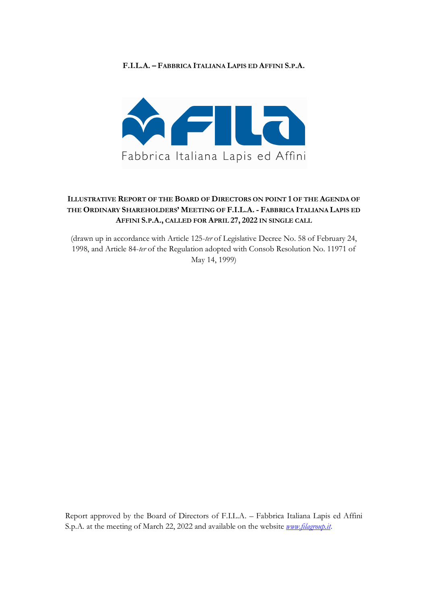## **F.I.L.A. – FABBRICA ITALIANA LAPIS ED AFFINI S.P.A.**



## **ILLUSTRATIVE REPORT OF THE BOARD OF DIRECTORS ON POINT 1 OF THE AGENDA OF THE ORDINARY SHAREHOLDERS' MEETING OF F.I.L.A. - FABBRICA ITALIANA LAPIS ED AFFINI S.P.A., CALLED FOR APRIL 27, 2022 IN SINGLE CALL**

(drawn up in accordance with Article 125-*ter* of Legislative Decree No. 58 of February 24, 1998, and Article 84-*ter* of the Regulation adopted with Consob Resolution No. 11971 of May 14, 1999)

Report approved by the Board of Directors of F.I.L.A. – Fabbrica Italiana Lapis ed Affini S.p.A. at the meeting of March 22, 2022 and available on the website *www.filagroup.it*.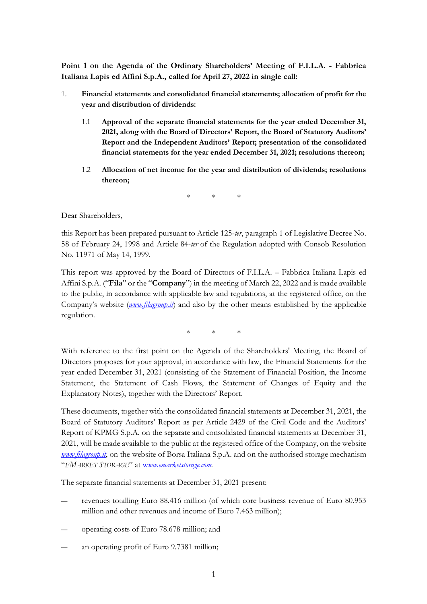**Point 1 on the Agenda of the Ordinary Shareholders' Meeting of F.I.L.A. - Fabbrica Italiana Lapis ed Affini S.p.A., called for April 27, 2022 in single call:**

- 1. **Financial statements and consolidated financial statements; allocation of profit for the year and distribution of dividends:**
	- 1.1 **Approval of the separate financial statements for the year ended December 31, 2021, along with the Board of Directors' Report, the Board of Statutory Auditors' Report and the Independent Auditors' Report; presentation of the consolidated financial statements for the year ended December 31, 2021; resolutions thereon;**
	- 1.2 **Allocation of net income for the year and distribution of dividends; resolutions thereon;**

\* \* \*

Dear Shareholders,

this Report has been prepared pursuant to Article 125-*ter*, paragraph 1 of Legislative Decree No. 58 of February 24, 1998 and Article 84-*ter* of the Regulation adopted with Consob Resolution No. 11971 of May 14, 1999.

This report was approved by the Board of Directors of F.I.L.A. – Fabbrica Italiana Lapis ed Affini S.p.A. ("**Fila**" or the "**Company**") in the meeting of March 22, 2022 and is made available to the public, in accordance with applicable law and regulations, at the registered office, on the Company's website (*www.filagroup.it*) and also by the other means established by the applicable regulation.

\* \* \*

With reference to the first point on the Agenda of the Shareholders' Meeting, the Board of Directors proposes for your approval, in accordance with law, the Financial Statements for the year ended December 31, 2021 (consisting of the Statement of Financial Position, the Income Statement, the Statement of Cash Flows, the Statement of Changes of Equity and the Explanatory Notes), together with the Directors' Report.

These documents, together with the consolidated financial statements at December 31, 2021, the Board of Statutory Auditors' Report as per Article 2429 of the Civil Code and the Auditors' Report of KPMG S.p.A. on the separate and consolidated financial statements at December 31, 2021, will be made available to the public at the registered office of the Company, on the website *www.filagroup.it*, on the website of Borsa Italiana S.p.A. and on the authorised storage mechanism "*EMARKET STORAGE*" at w*ww.emarketstorage.com*.

The separate financial statements at December 31, 2021 present:

- revenues totalling Euro 88.416 million (of which core business revenue of Euro 80.953 million and other revenues and income of Euro 7.463 million);
- ― operating costs of Euro 78.678 million; and
- an operating profit of Euro 9.7381 million;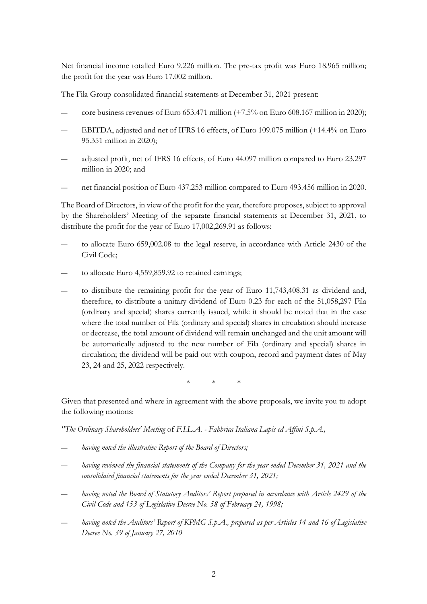Net financial income totalled Euro 9.226 million. The pre-tax profit was Euro 18.965 million; the profit for the year was Euro 17.002 million.

The Fila Group consolidated financial statements at December 31, 2021 present:

- core business revenues of Euro  $653.471$  million  $(+7.5\%$  on Euro  $608.167$  million in 2020);
- ― EBITDA, adjusted and net of IFRS 16 effects, of Euro 109.075 million (+14.4% on Euro 95.351 million in 2020);
- ― adjusted profit, net of IFRS 16 effects, of Euro 44.097 million compared to Euro 23.297 million in 2020; and
- ― net financial position of Euro 437.253 million compared to Euro 493.456 million in 2020.

The Board of Directors, in view of the profit for the year, therefore proposes, subject to approval by the Shareholders' Meeting of the separate financial statements at December 31, 2021, to distribute the profit for the year of Euro 17,002,269.91 as follows:

- to allocate Euro 659,002.08 to the legal reserve, in accordance with Article 2430 of the Civil Code;
- to allocate Euro 4,559,859.92 to retained earnings;
- to distribute the remaining profit for the year of Euro 11,743,408.31 as dividend and, therefore, to distribute a unitary dividend of Euro 0.23 for each of the 51,058,297 Fila (ordinary and special) shares currently issued, while it should be noted that in the case where the total number of Fila (ordinary and special) shares in circulation should increase or decrease, the total amount of dividend will remain unchanged and the unit amount will be automatically adjusted to the new number of Fila (ordinary and special) shares in circulation; the dividend will be paid out with coupon, record and payment dates of May 23, 24 and 25, 2022 respectively.

\* \* \*

Given that presented and where in agreement with the above proposals, we invite you to adopt the following motions:

*"The Ordinary Shareholders' Meeting* of *F.I.L.A. - Fabbrica Italiana Lapis ed Affini S.p.A.,*

- having noted the illustrative Report of the Board of Directors;
- having reviewed the financial statements of the Company for the year ended December 31, 2021 and the *consolidated financial statements for the year ended December 31, 2021;*
- having noted the Board of Statutory Auditors' Report prepared in accordance with Article 2429 of the *Civil Code and 153 of Legislative Decree No. 58 of February 24, 1998;*
- having noted the Auditors' Report of KPMG S.p.A., prepared as per Articles 14 and 16 of Legislative *Decree No. 39 of January 27, 2010*